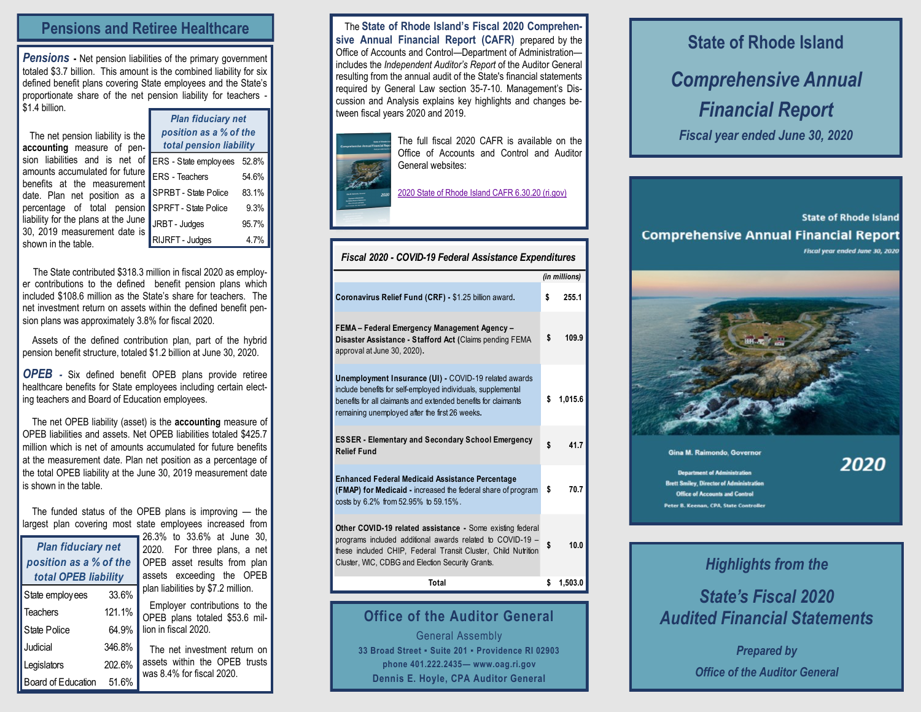#### **Pensions and Retiree Healthcare**

**Pensions** - Net pension liabilities of the primary government totaled \$3.7 billion. This amount is the combined liability for six defined benefit plans covering State employees and the State's proportionate share of the net pension liability for teachers \$1.4 billion.

| The net pension liability is the    |          |  |  |  |  |
|-------------------------------------|----------|--|--|--|--|
| accounting measure of pen-          |          |  |  |  |  |
| sion liabilities and is net of      | l.       |  |  |  |  |
| amounts accumulated for future      | ı        |  |  |  |  |
| benefits at the measurement         |          |  |  |  |  |
| date. Plan net position as a        | <br>     |  |  |  |  |
| percentage of total pension         | k        |  |  |  |  |
| liability for the plans at the June |          |  |  |  |  |
| 30, 2019 measurement date is        |          |  |  |  |  |
| shown in the table.                 | $\Big\}$ |  |  |  |  |
|                                     |          |  |  |  |  |

| <b>Plan fiduciary net</b>   |       |  |  |  |  |  |  |
|-----------------------------|-------|--|--|--|--|--|--|
| position as a % of the      |       |  |  |  |  |  |  |
| total pension liability     |       |  |  |  |  |  |  |
| ERS - State employees       | 52.8% |  |  |  |  |  |  |
| <b>ERS</b> - Teachers       | 54.6% |  |  |  |  |  |  |
| <b>SPRBT - State Police</b> | 83.1% |  |  |  |  |  |  |
| SPRFT - State Police        | 9.3%  |  |  |  |  |  |  |
| JRBT - Judges               | 95.7% |  |  |  |  |  |  |
| RIJRFT - Judges             | 4.7%  |  |  |  |  |  |  |

The State contributed \$318.3 million in fiscal 2020 as employer contributions to the defined benefit pension plans which included \$108.6 million as the State's share for teachers. The net investment return on assets within the defined benefit pension plans was approximately 3.8% for fiscal 2020.

Assets of the defined contribution plan, part of the hybrid pension benefit structure, totaled \$1.2 billion at June 30, 2020.

*OPEB -* Six defined benefit OPEB plans provide retiree healthcare benefits for State employees including certain electing teachers and Board of Education employees.

 The net OPEB liability (asset) is the **accounting** measure of OPEB liabilities and assets. Net OPEB liabilities totaled \$425.7 million which is net of amounts accumulated for future benefits at the measurement date. Plan net position as a percentage of the total OPEB liability at the June 30, 2019 measurement date is shown in the table.

 The funded status of the OPEB plans is improving — the largest plan covering most state employees increased from

| <b>Plan fiduciary net</b><br>position as a % of the<br>total OPEB liability | 26.3% to<br>2020.<br>- F<br>OPEB as<br>assets e |                      |
|-----------------------------------------------------------------------------|-------------------------------------------------|----------------------|
| State employees                                                             | 33.6%                                           | plan liabili         |
| <b>Teachers</b>                                                             | 121.1%                                          | Employ<br>OPEB pla   |
| State Police                                                                | 64.9%                                           | lion in fisc         |
| Judicial                                                                    | 346.8%                                          | The net              |
| Legislators                                                                 | 202.6%                                          | assets w<br>was 8.4% |
| Board of Education                                                          | 51.6%                                           |                      |

33.6% at June 30, or three plans, a net sset results from plan exceeding the OPEB ities by \$7.2 million. er contributions to the ans totaled  $$53.6$  million 10 al

investment return on thin the OPFB trusts for fiscal 2020.

 The **State of Rhode Island's Fiscal 2020 Comprehensive Annual Financial Report (CAFR)** prepared by the Office of Accounts and Control—Department of Administration includes the *Independent Auditor's Report* of the Auditor General resulting from the annual audit of the State's financial statements required by General Law section 35-7-10. Management's Discussion and Analysis explains key highlights and changes between fiscal years 2020 and 2019.



The full fiscal 2020 CAFR is available on the Office of Accounts and Control and Auditor General websites:

[2020 State of Rhode Island CAFR 6.30.20 \(ri.gov\)](http://controller.admin.ri.gov/documents/Financial%20Reports/122_Comprehensive%20Annual%20Financial%20Report_06-30-2020.pdf)

| Fiscal 2020 - COVID-19 Federal Assistance Expenditures                                                                                                                                                                                      |               |         |  |  |  |
|---------------------------------------------------------------------------------------------------------------------------------------------------------------------------------------------------------------------------------------------|---------------|---------|--|--|--|
|                                                                                                                                                                                                                                             | (in millions) |         |  |  |  |
| Coronavirus Relief Fund (CRF) - \$1.25 billion award.                                                                                                                                                                                       | \$            | 255.1   |  |  |  |
| FEMA - Federal Emergency Management Agency -<br>Disaster Assistance - Stafford Act (Claims pending FEMA<br>approval at June 30, 2020).                                                                                                      | \$            | 109.9   |  |  |  |
| Unemployment Insurance (UI) - COVID-19 related awards<br>include benefits for self-employed individuals, supplemental<br>benefits for all claimants and extended benefits for claimants<br>remaining unemployed after the first 26 weeks.   | \$            | 1,015.6 |  |  |  |
| <b>ESSER - Elementary and Secondary School Emergency</b><br><b>Relief Fund</b>                                                                                                                                                              | \$            | 41.7    |  |  |  |
| <b>Enhanced Federal Medicaid Assistance Percentage</b><br>(FMAP) for Medicaid - increased the federal share of program<br>costs by 6.2% from 52.95% to 59.15%.                                                                              | \$            | 70.7    |  |  |  |
| Other COVID-19 related assistance - Some existing federal<br>programs included additional awards related to COVID-19 -<br>these included CHIP, Federal Transit Cluster, Child Nutrition<br>Cluster, WIC, CDBG and Election Security Grants. | \$            | 10.0    |  |  |  |
| Total                                                                                                                                                                                                                                       | \$            | 1,503.0 |  |  |  |
|                                                                                                                                                                                                                                             |               |         |  |  |  |

#### **Office of the Auditor General**

General Assembly **33 Broad Street ▪ Suite 201 ▪ Providence RI 02903 phone 401.222.2435— www.oag.ri.gov Dennis E. Hoyle, CPA Auditor General**

# **State of Rhode Island** *Comprehensive Annual Financial Report Fiscal year ended June 30, 2020*

**State of Rhode Island Comprehensive Annual Financial Report** Fiscal year ended June 30, 2020



#### Gina M. Raimondo, Governo

2020

**Department of Administrati Brett Smiley, Director of Administrati Office of Accounts and Control** Peter B. Keenan, CPA, State Controlle

## *Highlights from the*

### *State's Fiscal 2020 Audited Financial Statements*

*Prepared by Office of the Auditor General*